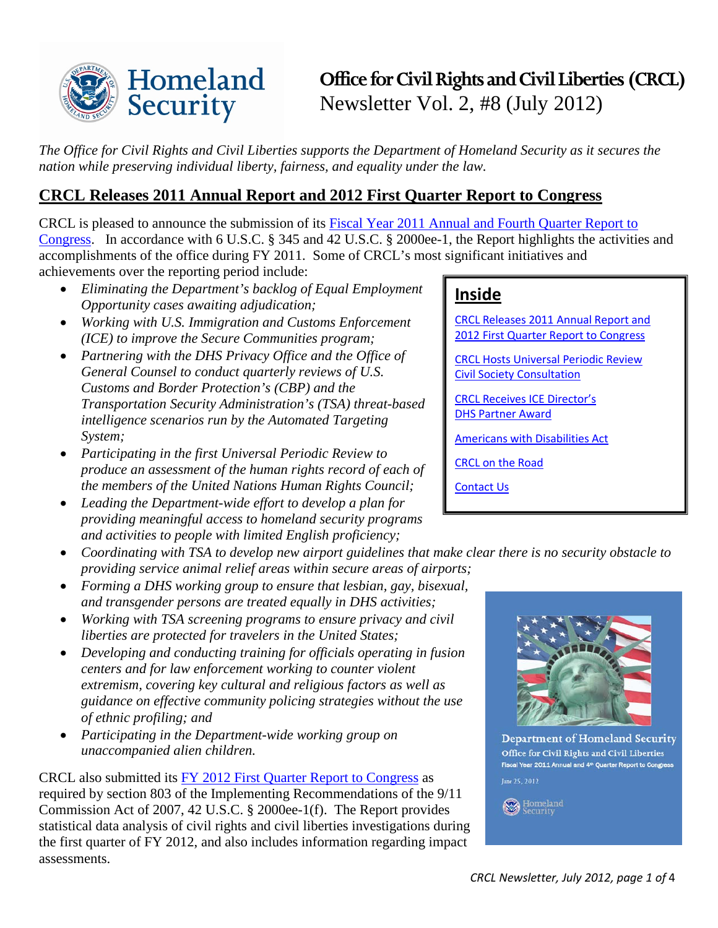

# **Office for Civil Rights and Civil Liberties (CRCL)** Newsletter Vol. 2, #8 (July 2012)

*The Office for Civil Rights and Civil Liberties supports the Department of Homeland Security as it secures the nation while preserving individual liberty, fairness, and equality under the law.* 

# <span id="page-0-0"></span>**CRCL Releases 2011 Annual Report and 2012 First Quarter Report to Congress**

CRCL is pleased to announce the submission of its [Fiscal Year 2011 Annual and Fourth Quarter Report to](http://www.dhs.gov/xlibrary/assets/crcl-annual-report-fy-2011-final.pdf)  [Congress.](http://www.dhs.gov/xlibrary/assets/crcl-annual-report-fy-2011-final.pdf) In accordance with 6 U.S.C. § 345 and 42 U.S.C. § 2000ee-1, the Report highlights the activities and accomplishments of the office during FY 2011. Some of CRCL's most significant initiatives and achievements over the reporting period include:

- *Eliminating the Department's backlog of Equal Employment Opportunity cases awaiting adjudication;*
- *Working with U.S. Immigration and Customs Enforcement (ICE) to improve the Secure Communities program;*
- *Partnering with the DHS Privacy Office and the Office of General Counsel to conduct quarterly reviews of U.S. Customs and Border Protection's (CBP) and the Transportation Security Administration's (TSA) threat-based intelligence scenarios run by the Automated Targeting System;*
- *Participating in the first Universal Periodic Review to produce an assessment of the human rights record of each of the members of the United Nations Human Rights Council;*
- *Leading the Department-wide effort to develop a plan for providing meaningful access to homeland security programs and activities to people with limited English proficiency;*
- *Coordinating with TSA to develop new airport guidelines that make clear there is no security obstacle to providing service animal relief areas within secure areas of airports;*
- *Forming a DHS working group to ensure that lesbian, gay, bisexual, and transgender persons are treated equally in DHS activities;*
- *Working with TSA screening programs to ensure privacy and civil liberties are protected for travelers in the United States;*
- *Developing and conducting training for officials operating in fusion centers and for law enforcement working to counter violent extremism, covering key cultural and religious factors as well as guidance on effective community policing strategies without the use of ethnic profiling; and*
- *Participating in the Department-wide working group on unaccompanied alien children.*

CRCL also submitted its [FY 2012 First Quarter Report to Congress](http://www.dhs.gov/xlibrary/assets/crcl/crcl-quarterly-report-fy-2012-q1.pdf) as required by section 803 of the Implementing Recommendations of the 9/11 Commission Act of 2007, 42 U.S.C. § 2000ee-1(f). The Report provides statistical data analysis of civil rights and civil liberties investigations during the first quarter of FY 2012, and also includes information regarding impact assessments.

# **Inside**

[CRCL Releases 2011 Annual Report and](#page-0-0)  [2012 First Quarter Report to Congress](#page-0-0)

[CRCL Hosts Universal Periodic Review](#page-1-0)  [Civil Society Consultation](#page-1-0)

[CRCL Receives ICE Director's](#page-1-1)  [DHS Partner Award](#page-1-1)

Americans [with Disabilities Act](#page-2-0)

[CRCL on the Road](#page-2-1)

[Contact Us](#page-3-0)



**Department of Homeland Security** Office for Civil Rights and Civil Liberties Fiscal Year 2011 Annual and 4<sup>th</sup> Quarter Report to Congress line 25, 2012

Homeland<br>Security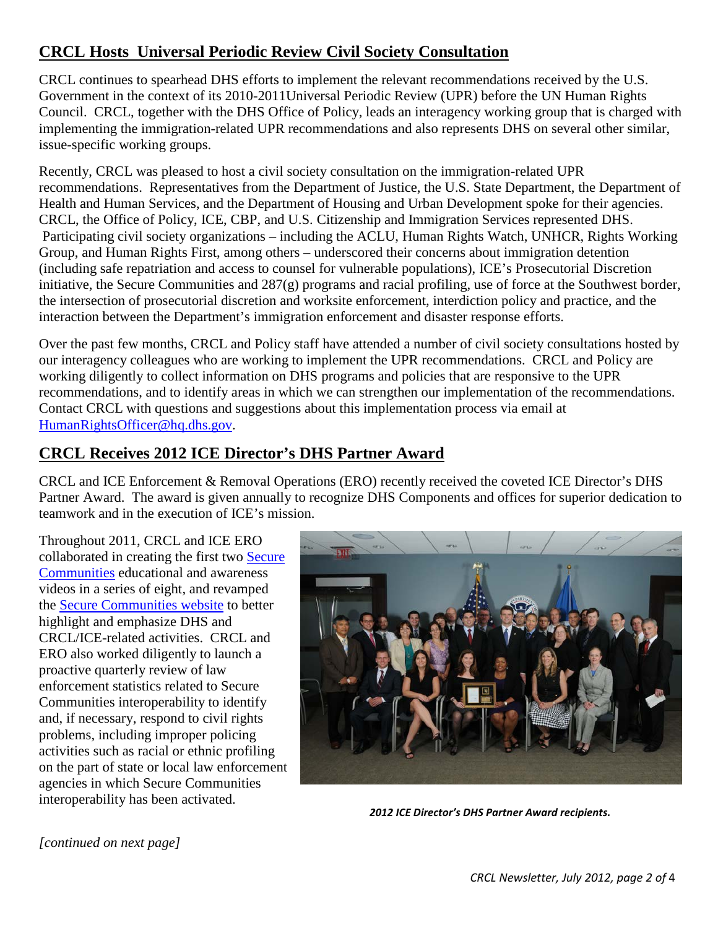# <span id="page-1-0"></span>**CRCL Hosts Universal Periodic Review Civil Society Consultation**

CRCL continues to spearhead DHS efforts to implement the relevant recommendations received by the U.S. Government in the context of its 2010-2011Universal Periodic Review (UPR) before the UN Human Rights Council. CRCL, together with the DHS Office of Policy, leads an interagency working group that is charged with implementing the immigration-related UPR recommendations and also represents DHS on several other similar, issue-specific working groups.

Recently, CRCL was pleased to host a civil society consultation on the immigration-related UPR recommendations. Representatives from the Department of Justice, the U.S. State Department, the Department of Health and Human Services, and the Department of Housing and Urban Development spoke for their agencies. CRCL, the Office of Policy, ICE, CBP, and U.S. Citizenship and Immigration Services represented DHS. Participating civil society organizations – including the ACLU, Human Rights Watch, UNHCR, Rights Working Group, and Human Rights First, among others – underscored their concerns about immigration detention (including safe repatriation and access to counsel for vulnerable populations), ICE's Prosecutorial Discretion initiative, the Secure Communities and 287(g) programs and racial profiling, use of force at the Southwest border, the intersection of prosecutorial discretion and worksite enforcement, interdiction policy and practice, and the interaction between the Department's immigration enforcement and disaster response efforts.

Over the past few months, CRCL and Policy staff have attended a number of civil society consultations hosted by our interagency colleagues who are working to implement the UPR recommendations. CRCL and Policy are working diligently to collect information on DHS programs and policies that are responsive to the UPR recommendations, and to identify areas in which we can strengthen our implementation of the recommendations. Contact CRCL with questions and suggestions about this implementation process via email at [HumanRightsOfficer@hq.dhs.gov.](mailto:HumanRightsOfficer@hq.dhs.gov)

# <span id="page-1-1"></span>**CRCL Receives 2012 ICE Director's DHS Partner Award**

CRCL and ICE Enforcement & Removal Operations (ERO) recently received the coveted ICE Director's DHS Partner Award. The award is given annually to recognize DHS Components and offices for superior dedication to teamwork and in the execution of ICE's mission.

Throughout 2011, CRCL and ICE ERO collaborated in creating the first two [Secure](http://www.ice.gov/secure_communities/crcl.htm)  [Communities](http://www.ice.gov/secure_communities/crcl.htm) educational and awareness videos in a series of eight, and revamped the [Secure Communities website](http://www.ice.gov/secure_communities/crcl.htm) to better highlight and emphasize DHS and CRCL/ICE-related activities. CRCL and ERO also worked diligently to launch a proactive quarterly review of law enforcement statistics related to Secure Communities interoperability to identify and, if necessary, respond to civil rights problems, including improper policing activities such as racial or ethnic profiling on the part of state or local law enforcement agencies in which Secure Communities interoperability has been activated.



*2012 ICE Director's DHS Partner Award recipients.* 

*[continued on next page]*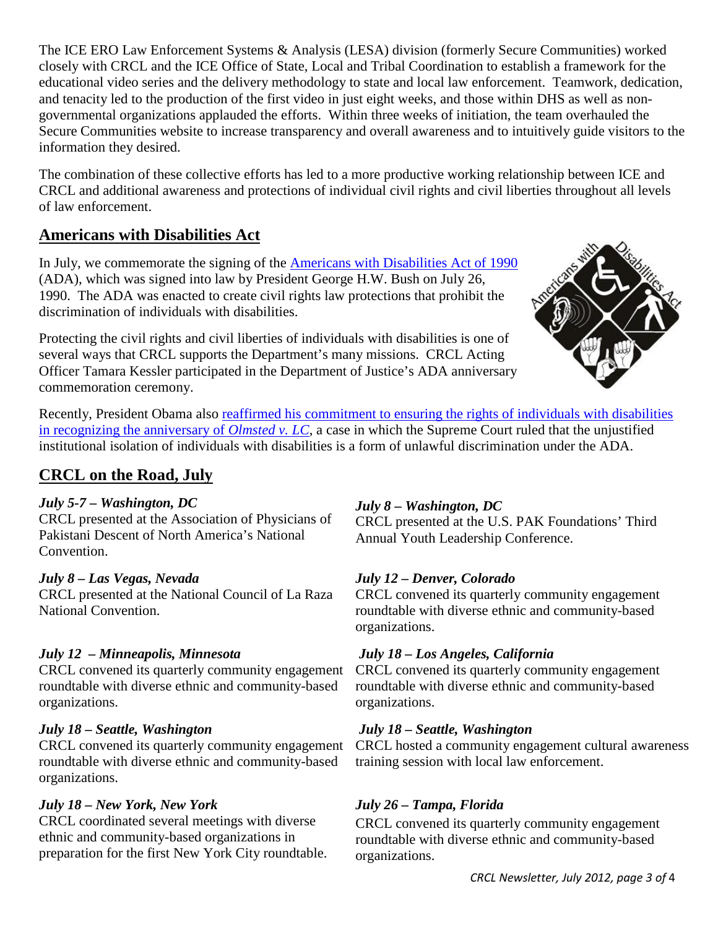The ICE ERO Law Enforcement Systems & Analysis (LESA) division (formerly Secure Communities) worked closely with CRCL and the ICE Office of State, Local and Tribal Coordination to establish a framework for the educational video series and the delivery methodology to state and local law enforcement. Teamwork, dedication, and tenacity led to the production of the first video in just eight weeks, and those within DHS as well as nongovernmental organizations applauded the efforts. Within three weeks of initiation, the team overhauled the Secure Communities website to increase transparency and overall awareness and to intuitively guide visitors to the information they desired.

The combination of these collective efforts has led to a more productive working relationship between ICE and CRCL and additional awareness and protections of individual civil rights and civil liberties throughout all levels of law enforcement.

# <span id="page-2-0"></span>**Americans with Disabilities Act**

In July, we commemorate the signing of the [Americans with Disabilities Act](http://www.ada.gov/pubs/ada.htm) of 1990 (ADA), which was signed into law by President George H.W. Bush on July 26, 1990. The ADA was enacted to create civil rights law protections that prohibit the discrimination of individuals with disabilities.

Protecting the civil rights and civil liberties of individuals with disabilities is one of several ways that CRCL supports the Department's many missions. CRCL Acting Officer Tamara Kessler participated in the Department of Justice's ADA anniversary commemoration ceremony.



Recently, President Obama also reaffirmed his commitment to [ensuring the rights of individuals with disabilities](http://www.whitehouse.gov/the-press-office/2012/06/22/anniversary-olmstead-obama-administration-reaffirms-commitment-assist-am)  [in recognizing the anniversary of](http://www.whitehouse.gov/the-press-office/2012/06/22/anniversary-olmstead-obama-administration-reaffirms-commitment-assist-am) *Olmsted v. LC*, a case in which the Supreme Court ruled that the unjustified institutional isolation of individuals with disabilities is a form of unlawful discrimination under the ADA.

# <span id="page-2-1"></span>**CRCL on the Road, July**

# *July 5-7 – Washington, DC*

CRCL presented at the Association of Physicians of Pakistani Descent of North America's National Convention.

#### *July 8 – Las Vegas, Nevada*

CRCL presented at the National Council of La Raza National Convention.

# *July 12 – Minneapolis, Minnesota*

CRCL convened its quarterly community engagement roundtable with diverse ethnic and community-based organizations.

#### *July 18 – Seattle, Washington*

CRCL convened its quarterly community engagement roundtable with diverse ethnic and community-based organizations.

#### *July 18 – New York, New York*

CRCL coordinated several meetings with diverse ethnic and community-based organizations in preparation for the first New York City roundtable.

# *July 8 – Washington, DC*

CRCL presented at the U.S. PAK Foundations' Third Annual Youth Leadership Conference.

# *July 12 – Denver, Colorado*

CRCL convened its quarterly community engagement roundtable with diverse ethnic and community-based organizations.

# *July 18 – Los Angeles, California*

CRCL convened its quarterly community engagement roundtable with diverse ethnic and community-based organizations.

# *July 18 – Seattle, Washington*

CRCL hosted a community engagement cultural awareness training session with local law enforcement.

# *July 26 – Tampa, Florida*

CRCL convened its quarterly community engagement roundtable with diverse ethnic and community-based organizations.